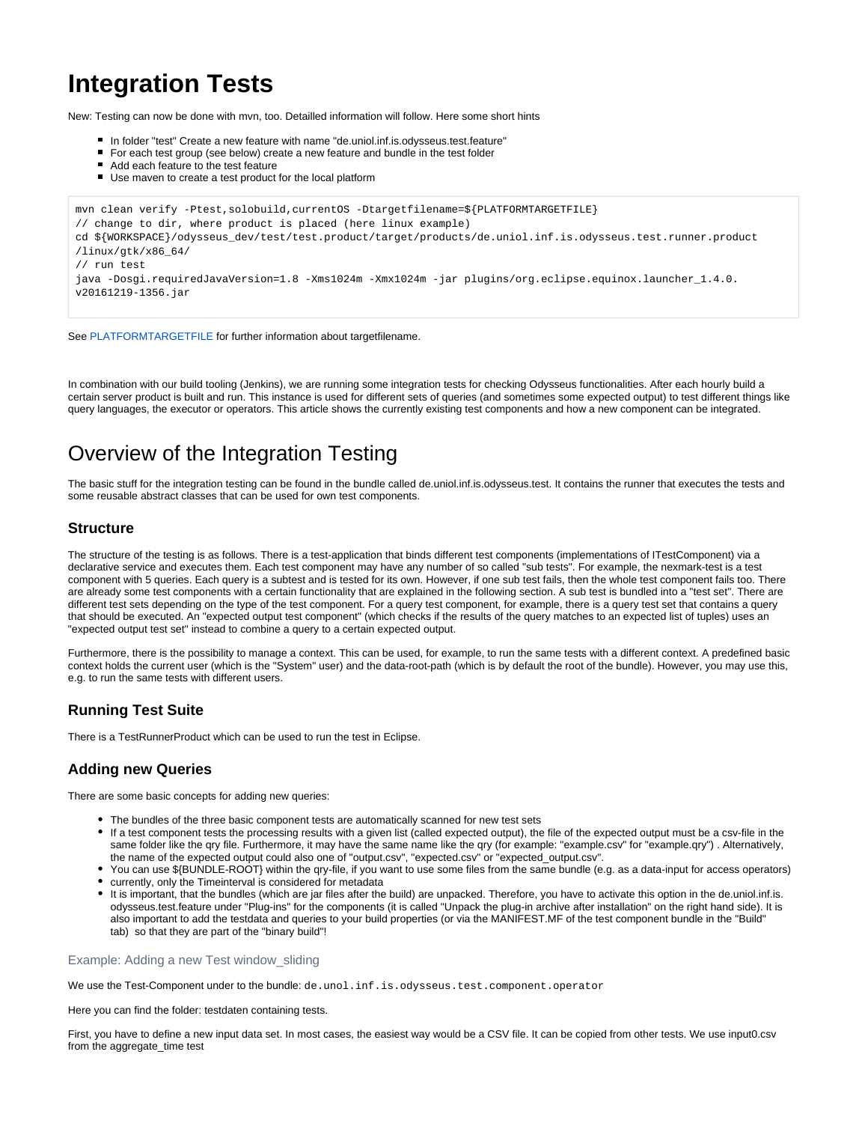# **Integration Tests**

New: Testing can now be done with mvn, too. Detailled information will follow. Here some short hints

- In folder "test" Create a new feature with name "de.uniol.inf.is.odysseus.test.feature"
- For each test group (see below) create a new feature and bundle in the test folder
- $\blacksquare$ Add each feature to the test feature
- Use maven to create a test product for the local platform

```
mvn clean verify -Ptest,solobuild,currentOS -Dtargetfilename=${PLATFORMTARGETFILE} 
// change to dir, where product is placed (here linux example) 
cd ${WORKSPACE}/odysseus_dev/test/test.product/target/products/de.uniol.inf.is.odysseus.test.runner.product
/linux/gtk/x86_64/
// run test
java -Dosgi.requiredJavaVersion=1.8 -Xms1024m -Xmx1024m -jar plugins/org.eclipse.equinox.launcher_1.4.0.
v20161219-1356.jar
```
See [PLATFORMTARGETFILE f](https://wiki.odysseus.informatik.uni-oldenburg.de/display/ODYSSEUS/PLATFORMTARGETFILE)or further information about targetfilename.

In combination with our build tooling (Jenkins), we are running some integration tests for checking Odysseus functionalities. After each hourly build a certain server product is built and run. This instance is used for different sets of queries (and sometimes some expected output) to test different things like query languages, the executor or operators. This article shows the currently existing test components and how a new component can be integrated.

# Overview of the Integration Testing

The basic stuff for the integration testing can be found in the bundle called de.uniol.inf.is.odysseus.test. It contains the runner that executes the tests and some reusable abstract classes that can be used for own test components.

### **Structure**

The structure of the testing is as follows. There is a test-application that binds different test components (implementations of ITestComponent) via a declarative service and executes them. Each test component may have any number of so called "sub tests". For example, the nexmark-test is a test component with 5 queries. Each query is a subtest and is tested for its own. However, if one sub test fails, then the whole test component fails too. There are already some test components with a certain functionality that are explained in the following section. A sub test is bundled into a "test set". There are different test sets depending on the type of the test component. For a query test component, for example, there is a query test set that contains a query that should be executed. An "expected output test component" (which checks if the results of the query matches to an expected list of tuples) uses an "expected output test set" instead to combine a query to a certain expected output.

Furthermore, there is the possibility to manage a context. This can be used, for example, to run the same tests with a different context. A predefined basic context holds the current user (which is the "System" user) and the data-root-path (which is by default the root of the bundle). However, you may use this, e.g. to run the same tests with different users.

# **Running Test Suite**

There is a TestRunnerProduct which can be used to run the test in Eclipse.

## **Adding new Queries**

There are some basic concepts for adding new queries:

- The bundles of the three basic component tests are automatically scanned for new test sets
- If a test component tests the processing results with a given list (called expected output), the file of the expected output must be a csv-file in the same folder like the qry file. Furthermore, it may have the same name like the qry (for example: "example.csv" for "example.qry") . Alternatively, the name of the expected output could also one of "output.csv", "expected.csv" or "expected\_output.csv".
- You can use \${BUNDLE-ROOT} within the qry-file, if you want to use some files from the same bundle (e.g. as a data-input for access operators)
- currently, only the Timeinterval is considered for metadata
- It is important, that the bundles (which are jar files after the build) are unpacked. Therefore, you have to activate this option in the de.uniol.inf.is. odysseus.test.feature under "Plug-ins" for the components (it is called "Unpack the plug-in archive after installation" on the right hand side). It is also important to add the testdata and queries to your build properties (or via the MANIFEST.MF of the test component bundle in the "Build" tab) so that they are part of the "binary build"!

#### Example: Adding a new Test window\_sliding

We use the Test-Component under to the bundle: de.unol.inf.is.odysseus.test.component.operator

Here you can find the folder: testdaten containing tests.

First, you have to define a new input data set. In most cases, the easiest way would be a CSV file. It can be copied from other tests. We use input0.csv from the aggregate\_time test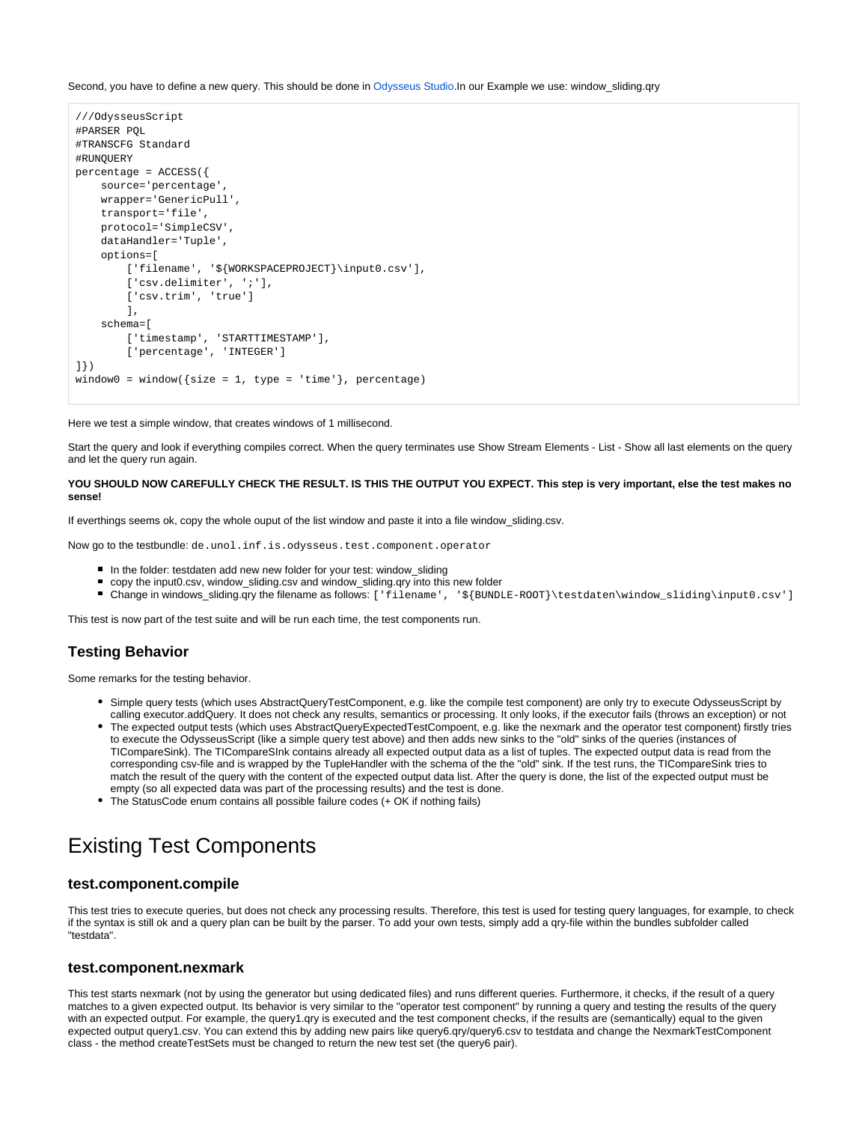Second, you have to define a new query. This should be done in [Odysseus Studio](https://wiki.odysseus.informatik.uni-oldenburg.de/display/ODYSSEUS/Odysseus+Studio).In our Example we use: window sliding.qry

```
///OdysseusScript
#PARSER PQL
#TRANSCFG Standard
#RUNQUERY
percentage = ACCESS({
     source='percentage', 
     wrapper='GenericPull',
     transport='file', 
     protocol='SimpleCSV',
     dataHandler='Tuple', 
     options=[
         ['filename', '${WORKSPACEPROJECT}\input0.csv'], 
        ['csv.delimiter', ';'],
         ['csv.trim', 'true']
         ], 
     schema=[
        ['timestamp', 'STARTTIMESTAMP'],
         ['percentage', 'INTEGER']
]})
window0 = window({size = 1, type = 'time'}, percentage)
```
Here we test a simple window, that creates windows of 1 millisecond.

Start the query and look if everything compiles correct. When the query terminates use Show Stream Elements - List - Show all last elements on the query and let the query run again.

#### **YOU SHOULD NOW CAREFULLY CHECK THE RESULT. IS THIS THE OUTPUT YOU EXPECT. This step is very important, else the test makes no sense!**

If everthings seems ok, copy the whole ouput of the list window and paste it into a file window sliding.csv.

Now go to the testbundle: de.unol.inf.is.odysseus.test.component.operator

- In the folder: testdaten add new new folder for your test: window sliding
- copy the input0.csv, window\_sliding.csv and window\_sliding.qry into this new folder
- Change in windows\_sliding.qry the filename as follows: ['filename', '\${BUNDLE-ROOT}\testdaten\window\_sliding\input0.csv']

This test is now part of the test suite and will be run each time, the test components run.

## **Testing Behavior**

Some remarks for the testing behavior.

- Simple query tests (which uses AbstractQueryTestComponent, e.g. like the compile test component) are only try to execute OdysseusScript by calling executor.addQuery. It does not check any results, semantics or processing. It only looks, if the executor fails (throws an exception) or not
- The expected output tests (which uses AbstractQueryExpectedTestCompoent, e.g. like the nexmark and the operator test component) firstly tries to execute the OdysseusScript (like a simple query test above) and then adds new sinks to the "old" sinks of the queries (instances of TICompareSink). The TICompareSInk contains already all expected output data as a list of tuples. The expected output data is read from the corresponding csv-file and is wrapped by the TupleHandler with the schema of the the "old" sink. If the test runs, the TICompareSink tries to match the result of the query with the content of the expected output data list. After the query is done, the list of the expected output must be empty (so all expected data was part of the processing results) and the test is done.
- The StatusCode enum contains all possible failure codes (+ OK if nothing fails)

# Existing Test Components

### **test.component.compile**

This test tries to execute queries, but does not check any processing results. Therefore, this test is used for testing query languages, for example, to check if the syntax is still ok and a query plan can be built by the parser. To add your own tests, simply add a qry-file within the bundles subfolder called "testdata".

#### **test.component.nexmark**

This test starts nexmark (not by using the generator but using dedicated files) and runs different queries. Furthermore, it checks, if the result of a query matches to a given expected output. Its behavior is very similar to the "operator test component" by running a query and testing the results of the query with an expected output. For example, the query1.qry is executed and the test component checks, if the results are (semantically) equal to the given expected output query1.csv. You can extend this by adding new pairs like query6.qry/query6.csv to testdata and change the NexmarkTestComponent class - the method createTestSets must be changed to return the new test set (the query6 pair).